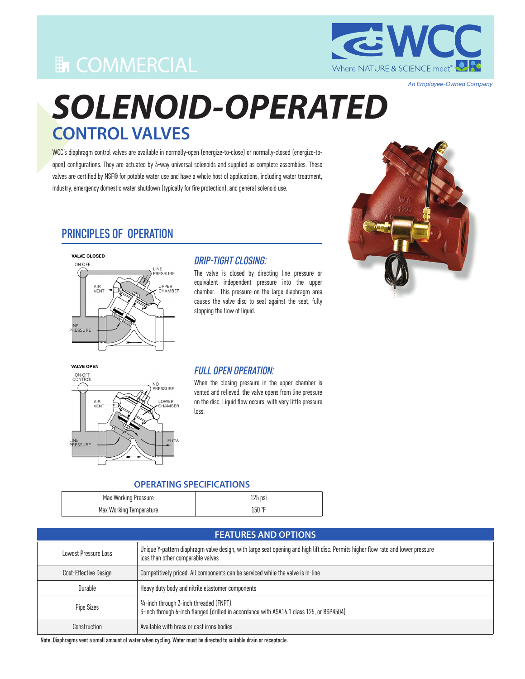# **En COMMERCIAL**



*An Employee-Owned Company*

# *SOLENOID-OPERATED* **CONTROL VALVES**

WCC's diaphragm control valves are available in normally-open (energize-to-close) or normally-closed (energize-toopen) configurations. They are actuated by 3-way universal solenoids and supplied as complete assemblies. These valves are certified by NSF® for potable water use and have a whole host of applications, including water treatment, industry, emergency domestic water shutdown (typically for fire protection), and general solenoid use.



### PRINCIPLES OF OPERATION



### *DRIP-TIGHT CLOSING:*

The valve is closed by directing line pressure or equivalent independent pressure into the upper chamber. This pressure on the large diaphragm area causes the valve disc to seal against the seat, fully stopping the flow of liquid.

VALVE OPEN



#### *FULL OPEN OPERATION:*

When the closing pressure in the upper chamber is vented and relieved, the valve opens from line pressure on the disc. Liquid flow occurs, with very little pressure loss.

#### **OPERATING SPECIFICATIONS**

| Max Working Pressure    | $125$ psi |
|-------------------------|-----------|
| Max Working Temperature | 150 °F    |

| <b>FEATURES AND OPTIONS</b> |                                                                                                                                                                       |
|-----------------------------|-----------------------------------------------------------------------------------------------------------------------------------------------------------------------|
| Lowest Pressure Loss        | Unique Y-pattern diaphragm valve design, with large seat opening and high lift disc. Permits higher flow rate and lower pressure<br>loss than other comparable valves |
| Cost-Effective Design       | Competitively priced. All components can be serviced while the valve is in-line                                                                                       |
| Durable                     | Heavy duty body and nitrile elastomer components                                                                                                                      |
| <b>Pipe Sizes</b>           | 3/4-inch through 3-inch threaded (FNPT).<br>3-inch through 6-inch flanged (drilled in accordance with ASA16.1 class 125, or BSP4504)                                  |
| Construction                | Available with brass or cast irons bodies                                                                                                                             |

Note: Diaphragms vent a small amount of water when cycling. Water must be directed to suitable drain or receptacle.